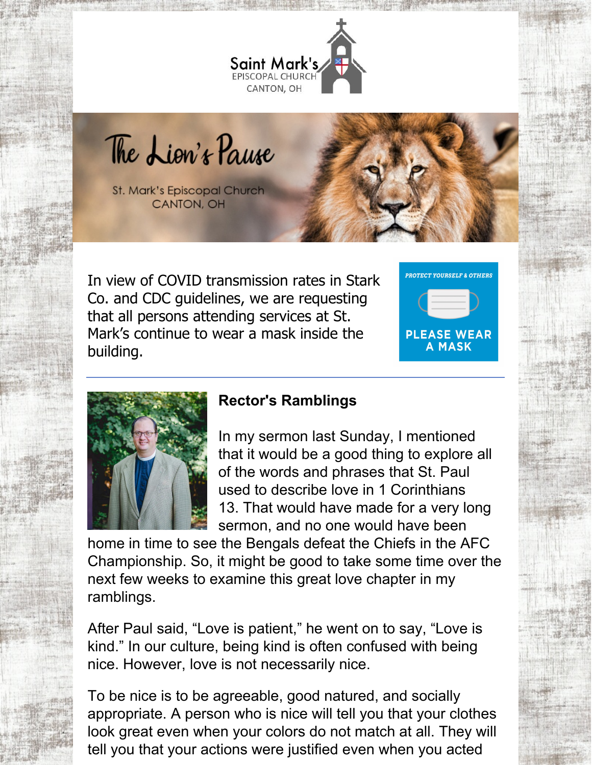

The Lion's Pause

**St. Mark's Episcopal Church CANTON, OH** 

In view of COVID transmission rates in Stark Co. and CDC guidelines, we are requesting that all persons attending services at St. Mark's continue to wear a mask inside the building.





## **Rector's Ramblings**

In my sermon last Sunday, I mentioned that it would be a good thing to explore all of the words and phrases that St. Paul used to describe love in 1 Corinthians 13. That would have made for a very long sermon, and no one would have been

home in time to see the Bengals defeat the Chiefs in the AFC Championship. So, it might be good to take some time over the next few weeks to examine this great love chapter in my ramblings.

After Paul said, "Love is patient," he went on to say, "Love is kind." In our culture, being kind is often confused with being nice. However, love is not necessarily nice.

To be nice is to be agreeable, good natured, and socially appropriate. A person who is nice will tell you that your clothes look great even when your colors do not match at all. They will tell you that your actions were justified even when you acted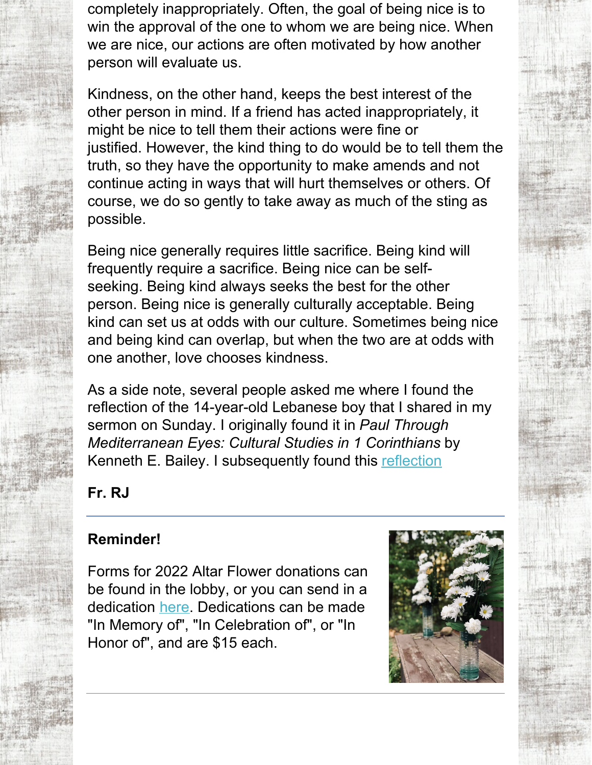completely inappropriately. Often, the goal of being nice is to win the approval of the one to whom we are being nice. When we are nice, our actions are often motivated by how another person will evaluate us.

Kindness, on the other hand, keeps the best interest of the other person in mind. If a friend has acted inappropriately, it might be nice to tell them their actions were fine or justified. However, the kind thing to do would be to tell them the truth, so they have the opportunity to make amends and not continue acting in ways that will hurt themselves or others. Of course, we do so gently to take away as much of the sting as possible.

Being nice generally requires little sacrifice. Being kind will frequently require a sacrifice. Being nice can be selfseeking. Being kind always seeks the best for the other person. Being nice is generally culturally acceptable. Being kind can set us at odds with our culture. Sometimes being nice and being kind can overlap, but when the two are at odds with one another, love chooses kindness.

As a side note, several people asked me where I found the reflection of the 14-year-old Lebanese boy that I shared in my sermon on Sunday. I originally found it in *Paul Through Mediterranean Eyes: Cultural Studies in 1 Corinthians* by Kenneth E. Bailey. I subsequently found this [reflection](https://www.pulpitfiction.com/s/Hannah-Haddads-Letter-zp8z.docx)

**Fr. RJ**

# **Reminder!**

Forms for 2022 Altar Flower donations can be found in the lobby, or you can send in a dedication [here.](mailto:office@stmarks-canton.org) Dedications can be made "In Memory of", "In Celebration of", or "In Honor of", and are \$15 each.

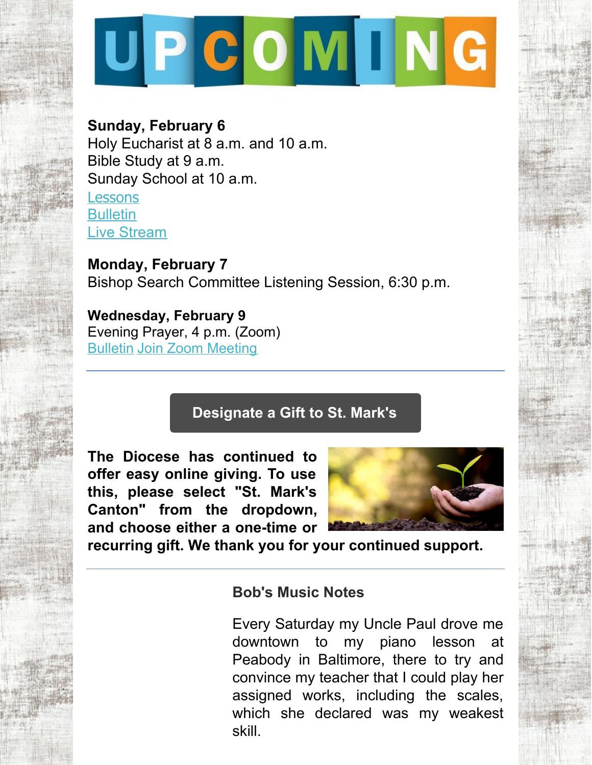

## **Sunday, February 6**

Holy Eucharist at 8 a.m. and 10 a.m. Bible Study at 9 a.m. Sunday School at 10 a.m. **[Lessons](http://lectionarypage.net/YearC_RCL/Epiphany/CEpi5_RCL.html) [Bulletin](https://files.constantcontact.com/32ed7374201/5489979a-2222-4753-9d72-994abbe233a2.pdf)** Live [Stream](https://www.facebook.com/stmarks.canton)

**Monday, February 7** Bishop Search Committee Listening Session, 6:30 p.m.

**Wednesday, February 9** Evening Prayer, 4 p.m. (Zoom) [Bulletin](https://files.constantcontact.com/32ed7374201/848e5cd9-7f56-45e2-a551-c979a2e2938c.pdf) Join Zoom [Meeting](https://us06web.zoom.us/j/84743725688?pwd=QU1TaEdzOEFjdWw3bUE2cE5xNXNMZz09)

# **[Designate](https://dohio.org/designate-a-gift-to-your-parish) a Gift to St. Mark's**

**The Diocese has continued to offer easy online giving. To use this, please select "St. Mark's Canton" from the dropdown, and choose either a one-time or**



**recurring gift. We thank you for your continued support.**

## **Bob's Music Notes**

Every Saturday my Uncle Paul drove me downtown to my piano lesson at Peabody in Baltimore, there to try and convince my teacher that I could play her assigned works, including the scales, which she declared was my weakest skill.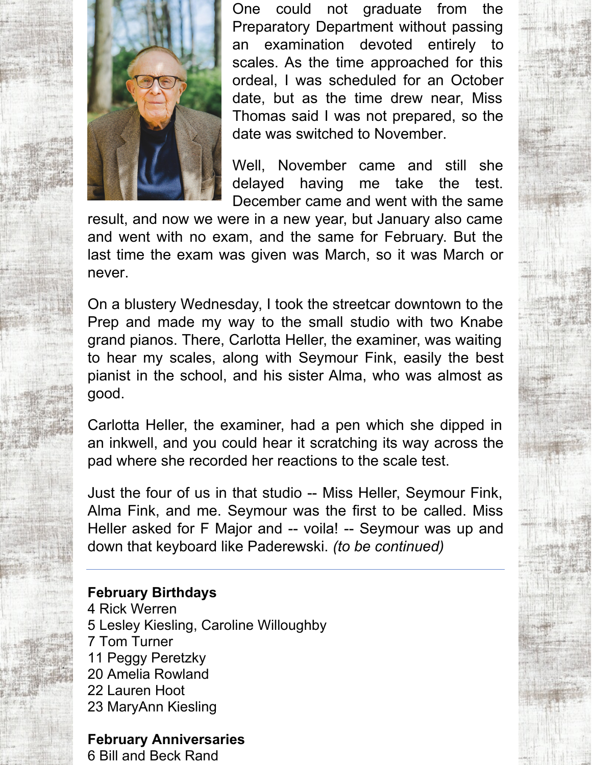

One could not graduate from the Preparatory Department without passing an examination devoted entirely to scales. As the time approached for this ordeal, I was scheduled for an October date, but as the time drew near, Miss Thomas said I was not prepared, so the date was switched to November.

Well, November came and still she delayed having me take the test. December came and went with the same

result, and now we were in a new year, but January also came and went with no exam, and the same for February. But the last time the exam was given was March, so it was March or never.

On a blustery Wednesday, I took the streetcar downtown to the Prep and made my way to the small studio with two Knabe grand pianos. There, Carlotta Heller, the examiner, was waiting to hear my scales, along with Seymour Fink, easily the best pianist in the school, and his sister Alma, who was almost as good.

Carlotta Heller, the examiner, had a pen which she dipped in an inkwell, and you could hear it scratching its way across the pad where she recorded her reactions to the scale test.

Just the four of us in that studio -- Miss Heller, Seymour Fink, Alma Fink, and me. Seymour was the first to be called. Miss Heller asked for F Major and -- voila! -- Seymour was up and down that keyboard like Paderewski. *(to be continued)*

#### **February Birthdays**

 Rick Werren Lesley Kiesling, Caroline Willoughby Tom Turner Peggy Peretzky Amelia Rowland Lauren Hoot MaryAnn Kiesling

### **February Anniversaries**

6 Bill and Beck Rand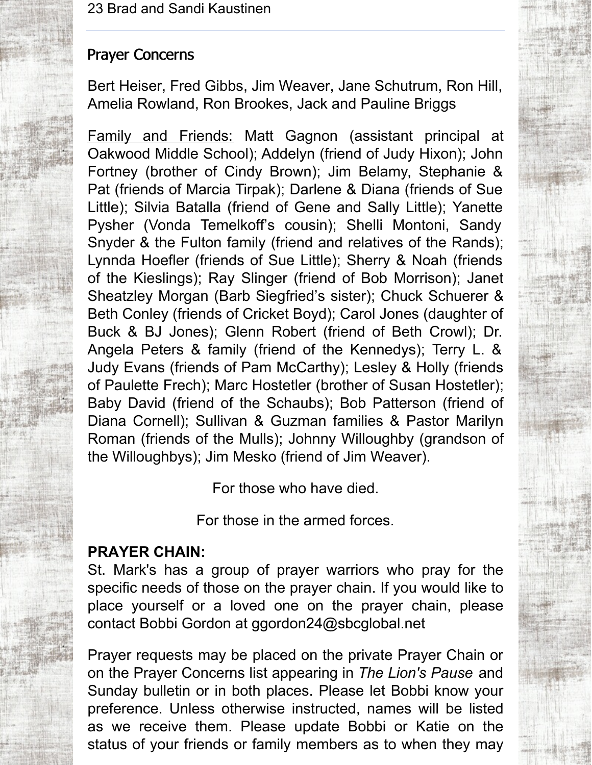## Prayer Concerns

Bert Heiser, Fred Gibbs, Jim Weaver, Jane Schutrum, Ron Hill, Amelia Rowland, Ron Brookes, Jack and Pauline Briggs

Family and Friends: Matt Gagnon (assistant principal at Oakwood Middle School); Addelyn (friend of Judy Hixon); John Fortney (brother of Cindy Brown); Jim Belamy, Stephanie & Pat (friends of Marcia Tirpak); Darlene & Diana (friends of Sue Little); Silvia Batalla (friend of Gene and Sally Little); Yanette Pysher (Vonda Temelkoff's cousin); Shelli Montoni, Sandy Snyder & the Fulton family (friend and relatives of the Rands); Lynnda Hoefler (friends of Sue Little); Sherry & Noah (friends of the Kieslings); Ray Slinger (friend of Bob Morrison); Janet Sheatzley Morgan (Barb Siegfried's sister); Chuck Schuerer & Beth Conley (friends of Cricket Boyd); Carol Jones (daughter of Buck & BJ Jones); Glenn Robert (friend of Beth Crowl); Dr. Angela Peters & family (friend of the Kennedys); Terry L. & Judy Evans (friends of Pam McCarthy); Lesley & Holly (friends of Paulette Frech); Marc Hostetler (brother of Susan Hostetler); Baby David (friend of the Schaubs); Bob Patterson (friend of Diana Cornell); Sullivan & Guzman families & Pastor Marilyn Roman (friends of the Mulls); Johnny Willoughby (grandson of the Willoughbys); Jim Mesko (friend of Jim Weaver).

For those who have died.

For those in the armed forces.

## **PRAYER CHAIN:**

St. Mark's has a group of prayer warriors who pray for the specific needs of those on the prayer chain. If you would like to place yourself or a loved one on the prayer chain, please contact Bobbi Gordon at ggordon24@sbcglobal.net

Prayer requests may be placed on the private Prayer Chain or on the Prayer Concerns list appearing in *The Lion's Pause* and Sunday bulletin or in both places. Please let Bobbi know your preference. Unless otherwise instructed, names will be listed as we receive them. Please update Bobbi or Katie on the status of your friends or family members as to when they may